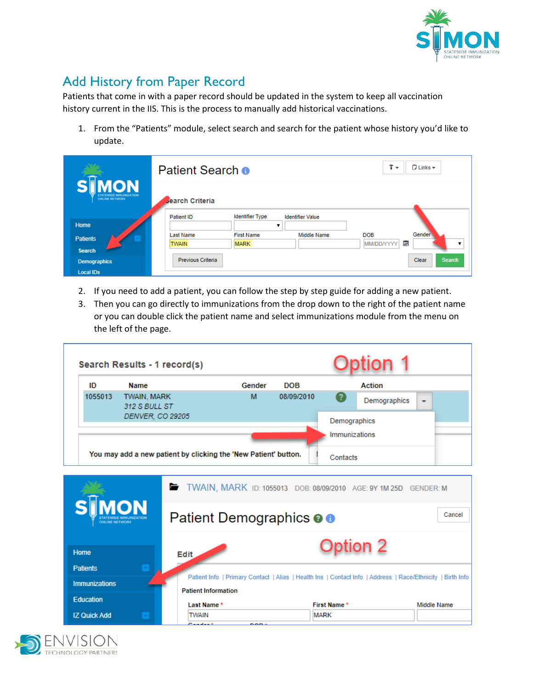

## Add History from Paper Record

Patients that come in with a paper record should be updated in the system to keep all vaccination history current in the IIS. This is the process to manually add historical vaccinations.

1. From the "Patients" module, select search and search for the patient whose history you'd like to update.

|                                                                       | Patient Search <sup>o</sup>                 | $T -$<br>$\Box$ Links $\star$    |                         |                                                           |
|-----------------------------------------------------------------------|---------------------------------------------|----------------------------------|-------------------------|-----------------------------------------------------------|
| <b>IMON</b><br><b>STATEWIDE IMMUNIZATION</b><br><b>ONLINE NETWORK</b> | <b>Jearch Criteria</b><br><b>Patient ID</b> | <b>Identifier Type</b>           | <b>Identifier Value</b> |                                                           |
| Home                                                                  |                                             | v                                |                         |                                                           |
| <b>Patients</b>                                                       | Last Name<br><b>TWAIN</b>                   | <b>First Name</b><br><b>MARK</b> | <b>Middle Name</b>      | Gender <sup>1</sup><br><b>DOB</b><br>圍<br>MM/DD/YYYY<br>▼ |
| <b>Search</b>                                                         |                                             |                                  |                         |                                                           |
| <b>Demographics</b>                                                   | Previous Criteria                           |                                  |                         | Clear<br><b>Search</b>                                    |
| <b>Local IDs</b>                                                      |                                             |                                  |                         |                                                           |

- 2. If you need to add a patient, you can follow the step by step guide for adding a new patient.
- 3. Then you can go directly to immunizations from the drop down to the right of the patient name or you can double click the patient name and select immunizations module from the menu on the left of the page.

|                      | Search Results - 1 record(s) |                                                                                                                                          |            |               | lion 1             |                          |
|----------------------|------------------------------|------------------------------------------------------------------------------------------------------------------------------------------|------------|---------------|--------------------|--------------------------|
| ID                   | <b>Name</b>                  | Gender                                                                                                                                   | <b>DOB</b> |               | <b>Action</b>      |                          |
| 1055013              | TWAIN, MARK<br>312 S BULL ST | M                                                                                                                                        | 08/09/2010 | 2             | Demographics       | $\overline{\phantom{a}}$ |
|                      | DENVER, CO 29205             |                                                                                                                                          |            | Demographics  |                    |                          |
|                      |                              |                                                                                                                                          |            | Immunizations |                    |                          |
|                      |                              | You may add a new patient by clicking the 'New Patient' button.                                                                          |            | Contacts      |                    |                          |
| ONLINE NETWORK       | <b>MON</b>                   | TWAIN, MARK ID: 1055013 DOB: 08/09/2010 AGE: 9Y 1M 25D GENDER: M<br>Patient Demographics <b>O O</b>                                      |            |               |                    | Cancel                   |
| Home                 |                              | <b>Edit</b>                                                                                                                              |            |               | $\mathsf{tion}\ 2$ |                          |
| <b>Patients</b>      |                              |                                                                                                                                          |            |               |                    |                          |
| <b>Immunizations</b> |                              | Patient Info   Primary Contact   Alias   Health Ins   Contact Info   Address   Race/Ethnicity   Birth Info<br><b>Patient Information</b> |            |               |                    |                          |
| <b>Education</b>     |                              | Last Name*                                                                                                                               |            | First Name*   |                    | <b>Middle Name</b>       |
| <b>IZ Quick Add</b>  |                              | <b>TWAIN</b>                                                                                                                             |            | <b>MARK</b>   |                    |                          |
|                      |                              |                                                                                                                                          |            |               |                    |                          |

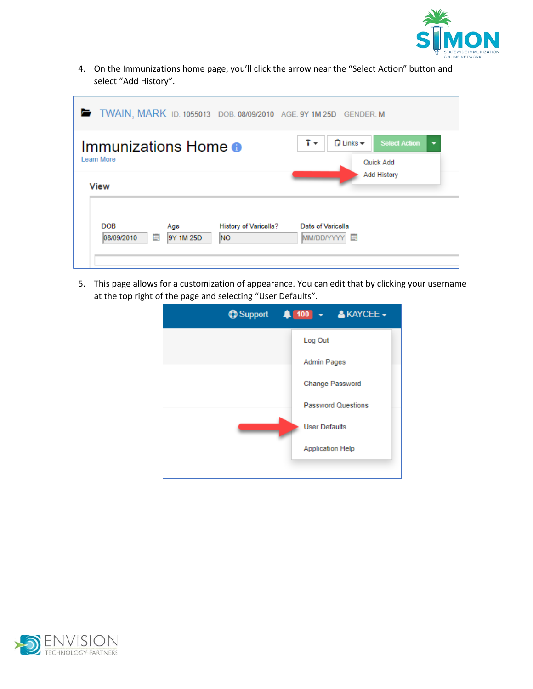

4. On the Immunizations home page, you'll click the arrow near the "Select Action" button and select "Add History".

| TWAIN, MARK ID: 1055013 DOB: 08/09/2010 AGE: 9Y 1M 25D GENDER: M                          |                                                                                                   |
|-------------------------------------------------------------------------------------------|---------------------------------------------------------------------------------------------------|
| Immunizations Home $\bullet$<br>Learn More<br><b>View</b>                                 | t +<br>$\Box$ Links $\rightarrow$<br><b>Select Action</b><br>٠<br>Quick Add<br><b>Add History</b> |
| <b>DOB</b><br><b>History of Varicella?</b><br>Age<br>目<br>9Y 1M 25D<br>08/09/2010<br>INO. | Date of Varicella<br>MM/DD/YYYY 图                                                                 |

5. This page allows for a customization of appearance. You can edit that by clicking your username at the top right of the page and selecting "User Defaults".

| <b>ig Support 4 100 + &amp; KAYCEE +</b> |
|------------------------------------------|
| Log Out                                  |
| <b>Admin Pages</b>                       |
| <b>Change Password</b>                   |
| <b>Password Questions</b>                |
| <b>User Defaults</b>                     |
| <b>Application Help</b>                  |
|                                          |

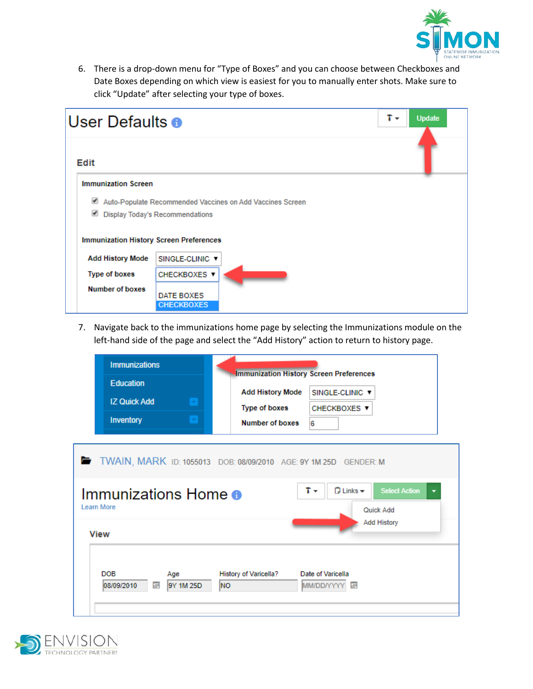

6. There is a drop-down menu for "Type of Boxes" and you can choose between Checkboxes and Date Boxes depending on which view is easiest for you to manually enter shots. Make sure to click "Update" after selecting your type of boxes.

| User Defaults <sup>o</sup>                     |                   |                                                           | t + | <b>Update</b> |
|------------------------------------------------|-------------------|-----------------------------------------------------------|-----|---------------|
| Edit                                           |                   |                                                           |     |               |
| <b>Immunization Screen</b>                     |                   |                                                           |     |               |
| ✔                                              |                   | Auto-Populate Recommended Vaccines on Add Vaccines Screen |     |               |
| Display Today's Recommendations                |                   |                                                           |     |               |
| <b>Immunization History Screen Preferences</b> |                   |                                                           |     |               |
| <b>Add History Mode</b>                        | SINGLE-CLINIC ▼   |                                                           |     |               |
| <b>Type of boxes</b>                           | CHECKBOXES ▼      |                                                           |     |               |
| <b>Number of boxes</b>                         | DATE BOXES        |                                                           |     |               |
|                                                | <b>CHECKBOXES</b> |                                                           |     |               |

7. Navigate back to the immunizations home page by selecting the Immunizations module on the left-hand side of the page and select the "Add History" action to return to history page.

| <b>Immunizations</b><br><b>Education</b>                         |      | <b>Immunization History Screen Preferences</b> |                                                                       |
|------------------------------------------------------------------|------|------------------------------------------------|-----------------------------------------------------------------------|
| <b>IZ Quick Add</b>                                              |      | <b>Add History Mode</b>                        | SINGLE-CLINIC ▼                                                       |
|                                                                  |      | <b>Type of boxes</b>                           | CHECKBOXES ▼                                                          |
| <b>Inventory</b>                                                 |      | <b>Number of boxes</b>                         | 6                                                                     |
|                                                                  |      |                                                |                                                                       |
| TWAIN, MARK ID: 1055013 DOB: 08/09/2010 AGE: 9Y 1M 25D GENDER: M |      |                                                |                                                                       |
| Immunizations Home <sup>o</sup><br>Learn More                    |      |                                                | $\Box$ Links $\star$<br><b>Select Action</b><br>T +<br>۰<br>Quick Add |
| <b>View</b>                                                      |      |                                                | <b>Add History</b>                                                    |
|                                                                  |      |                                                |                                                                       |
| <b>DOB</b><br>Age<br>08/09/2010<br>9Y 1M 25D<br>巪                | lno. | History of Varicella?                          | Date of Varicella<br>MM/DD/YYYY 图                                     |
|                                                                  |      |                                                |                                                                       |

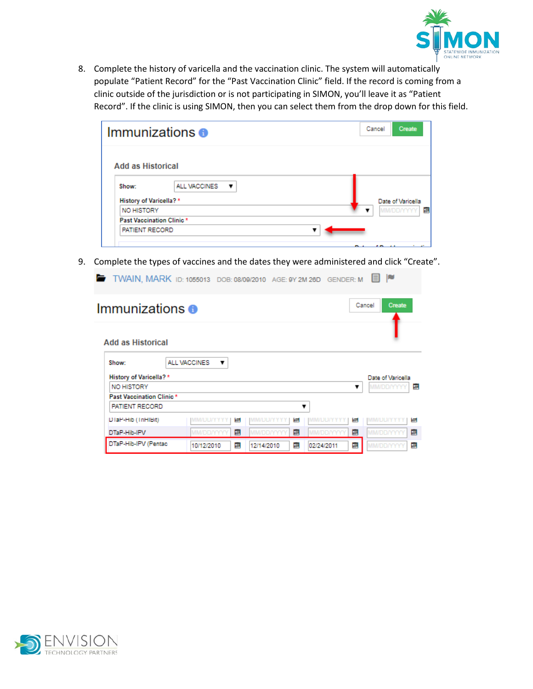

8. Complete the history of varicella and the vaccination clinic. The system will automatically populate "Patient Record" for the "Past Vaccination Clinic" field. If the record is coming from a clinic outside of the jurisdiction or is not participating in SIMON, you'll leave it as "Patient Record". If the clinic is using SIMON, then you can select them from the drop down for this field.

| Immunizations <sup>6</sup>                   | Cancel<br><b>Create</b> |
|----------------------------------------------|-------------------------|
| <b>Add as Historical</b>                     |                         |
| <b>ALL VACCINES</b><br>Show:<br>$\mathbf{v}$ |                         |
| <b>History of Varicella?*</b>                | Date of Varicella       |
| NO HISTORY                                   | E<br><b>MM/DD/YYY</b>   |
| Past Vaccination Clinic*                     |                         |
| PATIENT RECORD                               |                         |

9. Complete the types of vaccines and the dates they were administered and click "Create".

TWAIN, MARK ID: 1055013 DOB: 08/09/2010 AGE: 9Y 2M 26D GENDER: M | |

| Immunizations $\bullet$         |                   |   |                    |   |                  |   | Cancel<br><b>Create</b> |
|---------------------------------|-------------------|---|--------------------|---|------------------|---|-------------------------|
| <b>Add as Historical</b>        |                   |   |                    |   |                  |   |                         |
| Show:                           | ALL VACCINES<br>▼ |   |                    |   |                  |   |                         |
| <b>History of Varicella?</b> *  |                   |   |                    |   |                  |   | Date of Varicella       |
| <b>NO HISTORY</b>               |                   |   |                    |   |                  | ▼ | E<br><b>MM/DD/YYYY</b>  |
| <b>Past Vaccination Clinic*</b> |                   |   |                    |   |                  |   |                         |
| <b>PATIENT RECORD</b>           |                   |   |                    | ▼ |                  |   |                         |
| DiaP-Hib (InHiBit)              | MM/DD/YYYY        | е | <b>MM/DD/YYY</b>   | Ħ | <b>MM/DD/YYY</b> | е | <b>MM/UD/YYY</b><br>н   |
| DTaP-Hib-IPV                    | <b>MM/DD/YYYY</b> | 目 | <b>MIM/DD/YYYY</b> | 冒 | <b>MM/DD/YYY</b> | 属 | E<br>MM/DD/YYYY         |
| DTaP-Hib-IPV (Pentac            | 10/12/2010        | 冒 | 12/14/2010         | 属 | 02/24/2011       | E | 冒<br><b>MIM/DD/YYYY</b> |